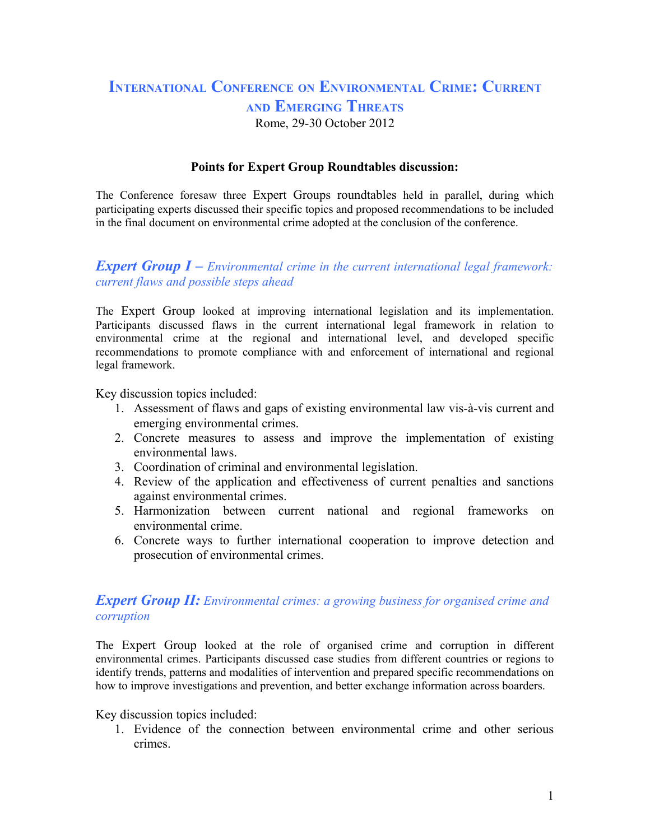# **INTERNATIONAL CONFERENCE ON ENVIRONMENTAL CRIME: CURRENT AND EMERGING THREATS** Rome, 29-30 October 2012

#### **Points for Expert Group Roundtables discussion:**

The Conference foresaw three Expert Groups roundtables held in parallel, during which participating experts discussed their specific topics and proposed recommendations to be included in the final document on environmental crime adopted at the conclusion of the conference.

### *Expert Group I – Environmental crime in the current international legal framework: current flaws and possible steps ahead*

The Expert Group looked at improving international legislation and its implementation. Participants discussed flaws in the current international legal framework in relation to environmental crime at the regional and international level, and developed specific recommendations to promote compliance with and enforcement of international and regional legal framework.

Key discussion topics included:

- 1. Assessment of flaws and gaps of existing environmental law vis-à-vis current and emerging environmental crimes.
- 2. Concrete measures to assess and improve the implementation of existing environmental laws.
- 3. Coordination of criminal and environmental legislation.
- 4. Review of the application and effectiveness of current penalties and sanctions against environmental crimes.
- 5. Harmonization between current national and regional frameworks on environmental crime.
- 6. Concrete ways to further international cooperation to improve detection and prosecution of environmental crimes.

### *Expert Group II: Environmental crimes: a growing business for organised crime and corruption*

The Expert Group looked at the role of organised crime and corruption in different environmental crimes. Participants discussed case studies from different countries or regions to identify trends, patterns and modalities of intervention and prepared specific recommendations on how to improve investigations and prevention, and better exchange information across boarders.

#### Key discussion topics included:

1. Evidence of the connection between environmental crime and other serious crimes.